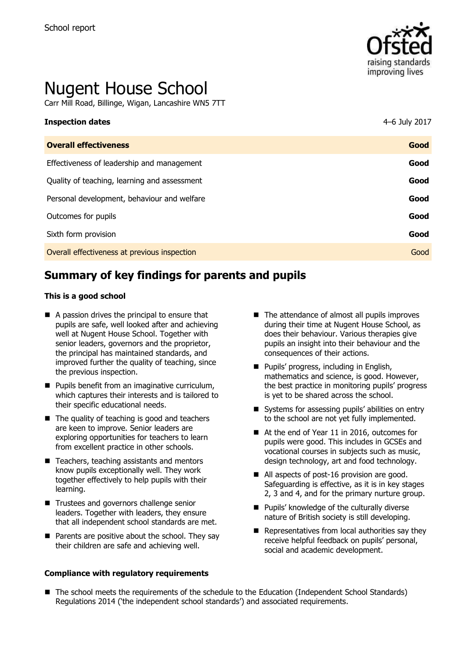

# Nugent House School

Carr Mill Road, Billinge, Wigan, Lancashire WN5 7TT

# **Inspection dates** 4–6 July 2017

| <b>Overall effectiveness</b>                 | Good |
|----------------------------------------------|------|
| Effectiveness of leadership and management   | Good |
| Quality of teaching, learning and assessment | Good |
| Personal development, behaviour and welfare  | Good |
| Outcomes for pupils                          | Good |
| Sixth form provision                         | Good |
| Overall effectiveness at previous inspection | Good |

## **Summary of key findings for parents and pupils**

#### **This is a good school**

- A passion drives the principal to ensure that pupils are safe, well looked after and achieving well at Nugent House School. Together with senior leaders, governors and the proprietor, the principal has maintained standards, and improved further the quality of teaching, since the previous inspection.
- **Pupils benefit from an imaginative curriculum,** which captures their interests and is tailored to their specific educational needs.
- The quality of teaching is good and teachers are keen to improve. Senior leaders are exploring opportunities for teachers to learn from excellent practice in other schools.
- $\blacksquare$  Teachers, teaching assistants and mentors know pupils exceptionally well. They work together effectively to help pupils with their learning.
- **Trustees and governors challenge senior** leaders. Together with leaders, they ensure that all independent school standards are met.
- $\blacksquare$  Parents are positive about the school. They say their children are safe and achieving well.

#### **Compliance with regulatory requirements**

- The attendance of almost all pupils improves during their time at Nugent House School, as does their behaviour. Various therapies give pupils an insight into their behaviour and the consequences of their actions.
- **Pupils' progress, including in English,** mathematics and science, is good. However, the best practice in monitoring pupils' progress is yet to be shared across the school.
- Systems for assessing pupils' abilities on entry to the school are not yet fully implemented.
- At the end of Year 11 in 2016, outcomes for pupils were good. This includes in GCSEs and vocational courses in subjects such as music, design technology, art and food technology.
- All aspects of post-16 provision are good. Safeguarding is effective, as it is in key stages 2, 3 and 4, and for the primary nurture group.
- **Pupils' knowledge of the culturally diverse** nature of British society is still developing.
- $\blacksquare$  Representatives from local authorities say they receive helpful feedback on pupils' personal, social and academic development.
- The school meets the requirements of the schedule to the Education (Independent School Standards) Regulations 2014 ('the independent school standards') and associated requirements.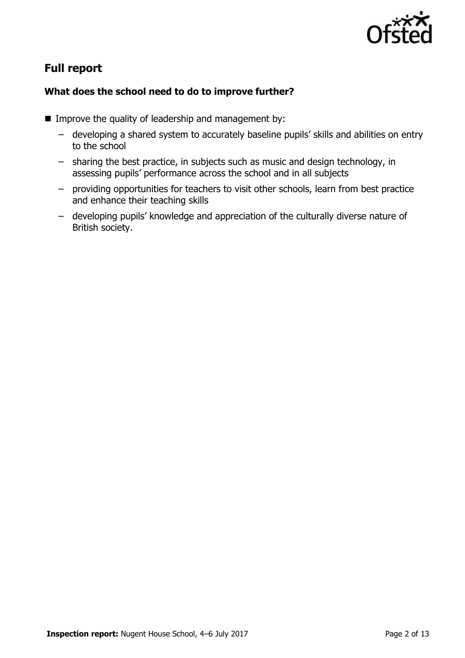

# **Full report**

### **What does the school need to do to improve further?**

- **IMPROVE the quality of leadership and management by:** 
	- developing a shared system to accurately baseline pupils' skills and abilities on entry to the school
	- sharing the best practice, in subjects such as music and design technology, in assessing pupils' performance across the school and in all subjects
	- providing opportunities for teachers to visit other schools, learn from best practice and enhance their teaching skills
	- developing pupils' knowledge and appreciation of the culturally diverse nature of British society.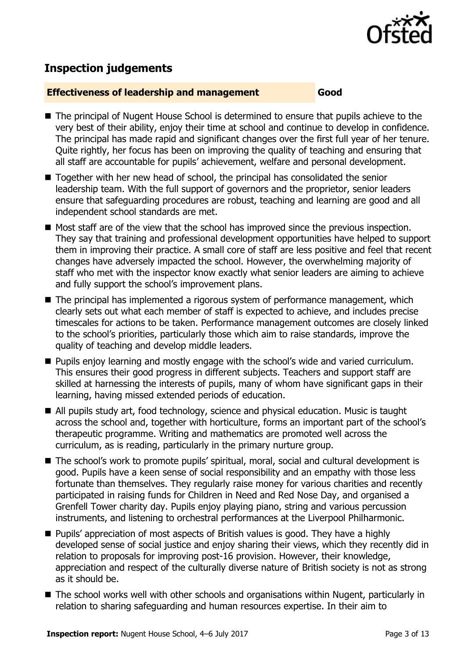

# **Inspection judgements**

#### **Effectiveness of leadership and management Good**

- The principal of Nugent House School is determined to ensure that pupils achieve to the very best of their ability, enjoy their time at school and continue to develop in confidence. The principal has made rapid and significant changes over the first full year of her tenure. Quite rightly, her focus has been on improving the quality of teaching and ensuring that all staff are accountable for pupils' achievement, welfare and personal development.
- Together with her new head of school, the principal has consolidated the senior leadership team. With the full support of governors and the proprietor, senior leaders ensure that safeguarding procedures are robust, teaching and learning are good and all independent school standards are met.
- Most staff are of the view that the school has improved since the previous inspection. They say that training and professional development opportunities have helped to support them in improving their practice. A small core of staff are less positive and feel that recent changes have adversely impacted the school. However, the overwhelming majority of staff who met with the inspector know exactly what senior leaders are aiming to achieve and fully support the school's improvement plans.
- The principal has implemented a rigorous system of performance management, which clearly sets out what each member of staff is expected to achieve, and includes precise timescales for actions to be taken. Performance management outcomes are closely linked to the school's priorities, particularly those which aim to raise standards, improve the quality of teaching and develop middle leaders.
- **Pupils enjoy learning and mostly engage with the school's wide and varied curriculum.** This ensures their good progress in different subjects. Teachers and support staff are skilled at harnessing the interests of pupils, many of whom have significant gaps in their learning, having missed extended periods of education.
- All pupils study art, food technology, science and physical education. Music is taught across the school and, together with horticulture, forms an important part of the school's therapeutic programme. Writing and mathematics are promoted well across the curriculum, as is reading, particularly in the primary nurture group.
- The school's work to promote pupils' spiritual, moral, social and cultural development is good. Pupils have a keen sense of social responsibility and an empathy with those less fortunate than themselves. They regularly raise money for various charities and recently participated in raising funds for Children in Need and Red Nose Day, and organised a Grenfell Tower charity day. Pupils enjoy playing piano, string and various percussion instruments, and listening to orchestral performances at the Liverpool Philharmonic.
- Pupils' appreciation of most aspects of British values is good. They have a highly developed sense of social justice and enjoy sharing their views, which they recently did in relation to proposals for improving post-16 provision. However, their knowledge, appreciation and respect of the culturally diverse nature of British society is not as strong as it should be.
- The school works well with other schools and organisations within Nugent, particularly in relation to sharing safeguarding and human resources expertise. In their aim to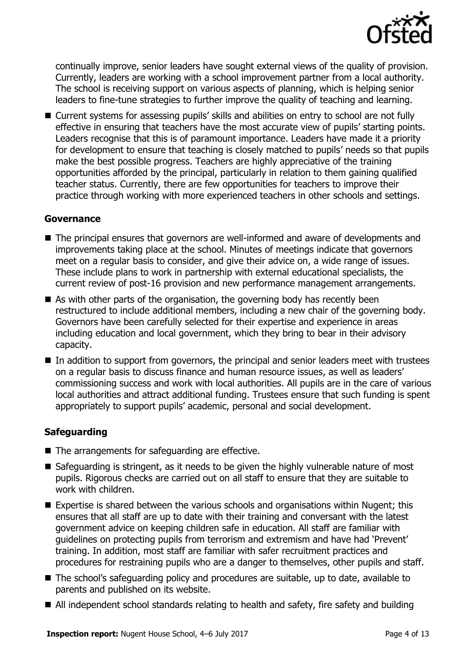

continually improve, senior leaders have sought external views of the quality of provision. Currently, leaders are working with a school improvement partner from a local authority. The school is receiving support on various aspects of planning, which is helping senior leaders to fine-tune strategies to further improve the quality of teaching and learning.

■ Current systems for assessing pupils' skills and abilities on entry to school are not fully effective in ensuring that teachers have the most accurate view of pupils' starting points. Leaders recognise that this is of paramount importance. Leaders have made it a priority for development to ensure that teaching is closely matched to pupils' needs so that pupils make the best possible progress. Teachers are highly appreciative of the training opportunities afforded by the principal, particularly in relation to them gaining qualified teacher status. Currently, there are few opportunities for teachers to improve their practice through working with more experienced teachers in other schools and settings.

#### **Governance**

- The principal ensures that governors are well-informed and aware of developments and improvements taking place at the school. Minutes of meetings indicate that governors meet on a regular basis to consider, and give their advice on, a wide range of issues. These include plans to work in partnership with external educational specialists, the current review of post-16 provision and new performance management arrangements.
- As with other parts of the organisation, the governing body has recently been restructured to include additional members, including a new chair of the governing body. Governors have been carefully selected for their expertise and experience in areas including education and local government, which they bring to bear in their advisory capacity.
- In addition to support from governors, the principal and senior leaders meet with trustees on a regular basis to discuss finance and human resource issues, as well as leaders' commissioning success and work with local authorities. All pupils are in the care of various local authorities and attract additional funding. Trustees ensure that such funding is spent appropriately to support pupils' academic, personal and social development.

#### **Safeguarding**

- The arrangements for safeguarding are effective.
- Safeguarding is stringent, as it needs to be given the highly vulnerable nature of most pupils. Rigorous checks are carried out on all staff to ensure that they are suitable to work with children.
- Expertise is shared between the various schools and organisations within Nugent; this ensures that all staff are up to date with their training and conversant with the latest government advice on keeping children safe in education. All staff are familiar with guidelines on protecting pupils from terrorism and extremism and have had 'Prevent' training. In addition, most staff are familiar with safer recruitment practices and procedures for restraining pupils who are a danger to themselves, other pupils and staff.
- The school's safeguarding policy and procedures are suitable, up to date, available to parents and published on its website.
- All independent school standards relating to health and safety, fire safety and building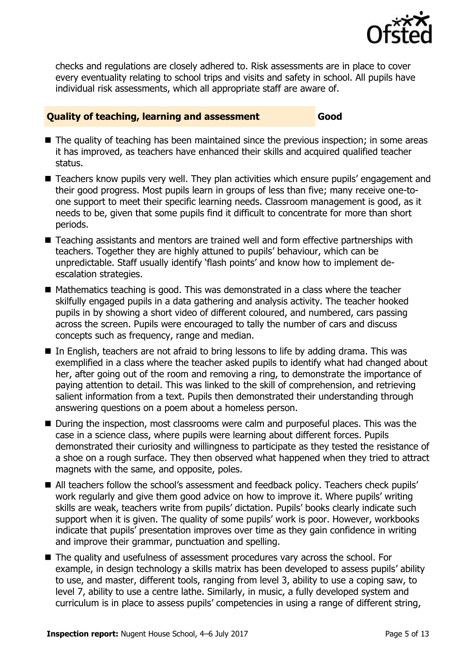

checks and regulations are closely adhered to. Risk assessments are in place to cover every eventuality relating to school trips and visits and safety in school. All pupils have individual risk assessments, which all appropriate staff are aware of.

#### **Quality of teaching, learning and assessment Good**

- $\blacksquare$  The quality of teaching has been maintained since the previous inspection; in some areas it has improved, as teachers have enhanced their skills and acquired qualified teacher status.
- Teachers know pupils very well. They plan activities which ensure pupils' engagement and their good progress. Most pupils learn in groups of less than five; many receive one-toone support to meet their specific learning needs. Classroom management is good, as it needs to be, given that some pupils find it difficult to concentrate for more than short periods.
- Teaching assistants and mentors are trained well and form effective partnerships with teachers. Together they are highly attuned to pupils' behaviour, which can be unpredictable. Staff usually identify 'flash points' and know how to implement deescalation strategies.
- Mathematics teaching is good. This was demonstrated in a class where the teacher skilfully engaged pupils in a data gathering and analysis activity. The teacher hooked pupils in by showing a short video of different coloured, and numbered, cars passing across the screen. Pupils were encouraged to tally the number of cars and discuss concepts such as frequency, range and median.
- In English, teachers are not afraid to bring lessons to life by adding drama. This was exemplified in a class where the teacher asked pupils to identify what had changed about her, after going out of the room and removing a ring, to demonstrate the importance of paying attention to detail. This was linked to the skill of comprehension, and retrieving salient information from a text. Pupils then demonstrated their understanding through answering questions on a poem about a homeless person.
- During the inspection, most classrooms were calm and purposeful places. This was the case in a science class, where pupils were learning about different forces. Pupils demonstrated their curiosity and willingness to participate as they tested the resistance of a shoe on a rough surface. They then observed what happened when they tried to attract magnets with the same, and opposite, poles.
- All teachers follow the school's assessment and feedback policy. Teachers check pupils' work regularly and give them good advice on how to improve it. Where pupils' writing skills are weak, teachers write from pupils' dictation. Pupils' books clearly indicate such support when it is given. The quality of some pupils' work is poor. However, workbooks indicate that pupils' presentation improves over time as they gain confidence in writing and improve their grammar, punctuation and spelling.
- The quality and usefulness of assessment procedures vary across the school. For example, in design technology a skills matrix has been developed to assess pupils' ability to use, and master, different tools, ranging from level 3, ability to use a coping saw, to level 7, ability to use a centre lathe. Similarly, in music, a fully developed system and curriculum is in place to assess pupils' competencies in using a range of different string,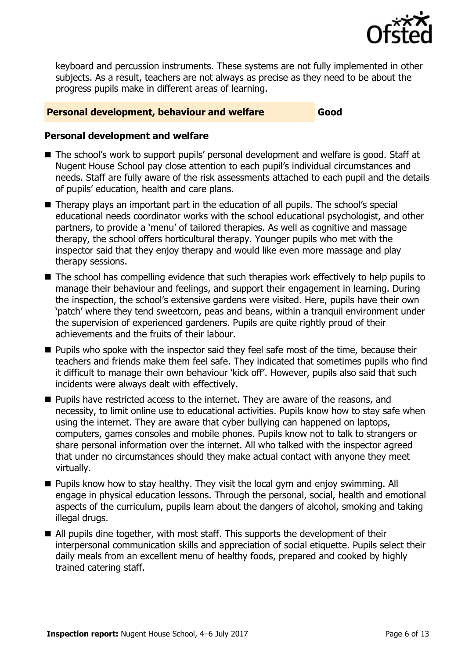

keyboard and percussion instruments. These systems are not fully implemented in other subjects. As a result, teachers are not always as precise as they need to be about the progress pupils make in different areas of learning.

#### **Personal development, behaviour and welfare Good**

#### **Personal development and welfare**

- The school's work to support pupils' personal development and welfare is good. Staff at Nugent House School pay close attention to each pupil's individual circumstances and needs. Staff are fully aware of the risk assessments attached to each pupil and the details of pupils' education, health and care plans.
- Therapy plays an important part in the education of all pupils. The school's special educational needs coordinator works with the school educational psychologist, and other partners, to provide a 'menu' of tailored therapies. As well as cognitive and massage therapy, the school offers horticultural therapy. Younger pupils who met with the inspector said that they enjoy therapy and would like even more massage and play therapy sessions.
- The school has compelling evidence that such therapies work effectively to help pupils to manage their behaviour and feelings, and support their engagement in learning. During the inspection, the school's extensive gardens were visited. Here, pupils have their own 'patch' where they tend sweetcorn, peas and beans, within a tranquil environment under the supervision of experienced gardeners. Pupils are quite rightly proud of their achievements and the fruits of their labour.
- **Pupils who spoke with the inspector said they feel safe most of the time, because their** teachers and friends make them feel safe. They indicated that sometimes pupils who find it difficult to manage their own behaviour 'kick off'. However, pupils also said that such incidents were always dealt with effectively.
- **Pupils have restricted access to the internet. They are aware of the reasons, and** necessity, to limit online use to educational activities. Pupils know how to stay safe when using the internet. They are aware that cyber bullying can happened on laptops, computers, games consoles and mobile phones. Pupils know not to talk to strangers or share personal information over the internet. All who talked with the inspector agreed that under no circumstances should they make actual contact with anyone they meet virtually.
- **Pupils know how to stay healthy. They visit the local gym and enjoy swimming. All** engage in physical education lessons. Through the personal, social, health and emotional aspects of the curriculum, pupils learn about the dangers of alcohol, smoking and taking illegal drugs.
- All pupils dine together, with most staff. This supports the development of their interpersonal communication skills and appreciation of social etiquette. Pupils select their daily meals from an excellent menu of healthy foods, prepared and cooked by highly trained catering staff.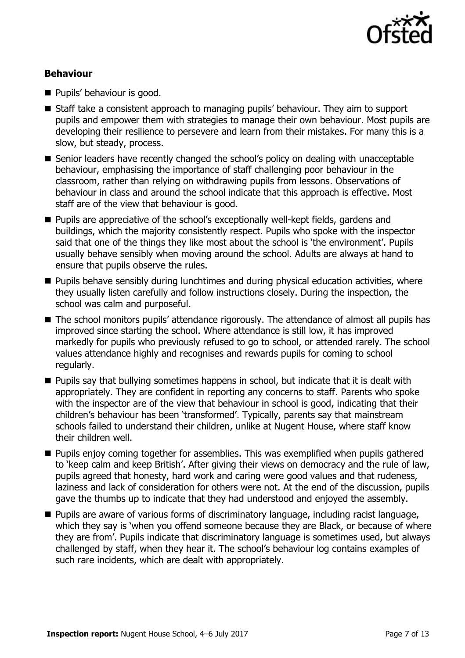

### **Behaviour**

- **Pupils' behaviour is good.**
- Staff take a consistent approach to managing pupils' behaviour. They aim to support pupils and empower them with strategies to manage their own behaviour. Most pupils are developing their resilience to persevere and learn from their mistakes. For many this is a slow, but steady, process.
- Senior leaders have recently changed the school's policy on dealing with unacceptable behaviour, emphasising the importance of staff challenging poor behaviour in the classroom, rather than relying on withdrawing pupils from lessons. Observations of behaviour in class and around the school indicate that this approach is effective. Most staff are of the view that behaviour is good.
- Pupils are appreciative of the school's exceptionally well-kept fields, gardens and buildings, which the majority consistently respect. Pupils who spoke with the inspector said that one of the things they like most about the school is 'the environment'. Pupils usually behave sensibly when moving around the school. Adults are always at hand to ensure that pupils observe the rules.
- **Pupils behave sensibly during lunchtimes and during physical education activities, where** they usually listen carefully and follow instructions closely. During the inspection, the school was calm and purposeful.
- The school monitors pupils' attendance rigorously. The attendance of almost all pupils has improved since starting the school. Where attendance is still low, it has improved markedly for pupils who previously refused to go to school, or attended rarely. The school values attendance highly and recognises and rewards pupils for coming to school regularly.
- **Pupils say that bullying sometimes happens in school, but indicate that it is dealt with** appropriately. They are confident in reporting any concerns to staff. Parents who spoke with the inspector are of the view that behaviour in school is good, indicating that their children's behaviour has been 'transformed'. Typically, parents say that mainstream schools failed to understand their children, unlike at Nugent House, where staff know their children well.
- **Pupils enjoy coming together for assemblies. This was exemplified when pupils gathered** to 'keep calm and keep British'. After giving their views on democracy and the rule of law, pupils agreed that honesty, hard work and caring were good values and that rudeness, laziness and lack of consideration for others were not. At the end of the discussion, pupils gave the thumbs up to indicate that they had understood and enjoyed the assembly.
- **Pupils are aware of various forms of discriminatory language, including racist language,** which they say is 'when you offend someone because they are Black, or because of where they are from'. Pupils indicate that discriminatory language is sometimes used, but always challenged by staff, when they hear it. The school's behaviour log contains examples of such rare incidents, which are dealt with appropriately.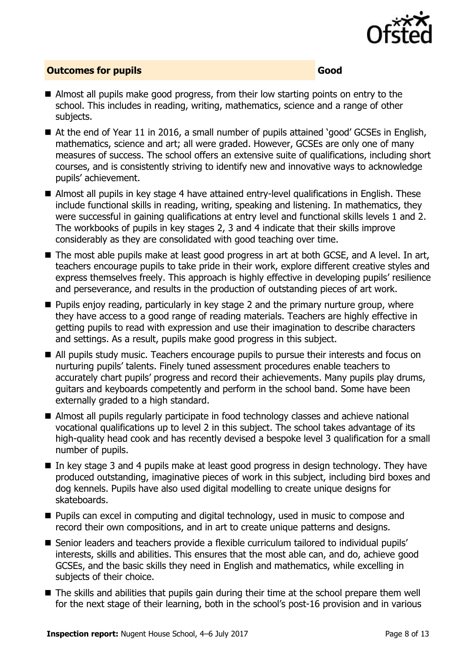

### **Outcomes for pupils Good Good**

- Almost all pupils make good progress, from their low starting points on entry to the school. This includes in reading, writing, mathematics, science and a range of other subjects.
- At the end of Year 11 in 2016, a small number of pupils attained 'good' GCSEs in English, mathematics, science and art; all were graded. However, GCSEs are only one of many measures of success. The school offers an extensive suite of qualifications, including short courses, and is consistently striving to identify new and innovative ways to acknowledge pupils' achievement.
- Almost all pupils in key stage 4 have attained entry-level qualifications in English. These include functional skills in reading, writing, speaking and listening. In mathematics, they were successful in gaining qualifications at entry level and functional skills levels 1 and 2. The workbooks of pupils in key stages 2, 3 and 4 indicate that their skills improve considerably as they are consolidated with good teaching over time.
- The most able pupils make at least good progress in art at both GCSE, and A level. In art, teachers encourage pupils to take pride in their work, explore different creative styles and express themselves freely. This approach is highly effective in developing pupils' resilience and perseverance, and results in the production of outstanding pieces of art work.
- $\blacksquare$  Pupils enjoy reading, particularly in key stage 2 and the primary nurture group, where they have access to a good range of reading materials. Teachers are highly effective in getting pupils to read with expression and use their imagination to describe characters and settings. As a result, pupils make good progress in this subject.
- All pupils study music. Teachers encourage pupils to pursue their interests and focus on nurturing pupils' talents. Finely tuned assessment procedures enable teachers to accurately chart pupils' progress and record their achievements. Many pupils play drums, guitars and keyboards competently and perform in the school band. Some have been externally graded to a high standard.
- Almost all pupils regularly participate in food technology classes and achieve national vocational qualifications up to level 2 in this subject. The school takes advantage of its high-quality head cook and has recently devised a bespoke level 3 qualification for a small number of pupils.
- In key stage 3 and 4 pupils make at least good progress in design technology. They have produced outstanding, imaginative pieces of work in this subject, including bird boxes and dog kennels. Pupils have also used digital modelling to create unique designs for skateboards.
- **Pupils can excel in computing and digital technology, used in music to compose and** record their own compositions, and in art to create unique patterns and designs.
- Senior leaders and teachers provide a flexible curriculum tailored to individual pupils' interests, skills and abilities. This ensures that the most able can, and do, achieve good GCSEs, and the basic skills they need in English and mathematics, while excelling in subjects of their choice.
- The skills and abilities that pupils gain during their time at the school prepare them well for the next stage of their learning, both in the school's post-16 provision and in various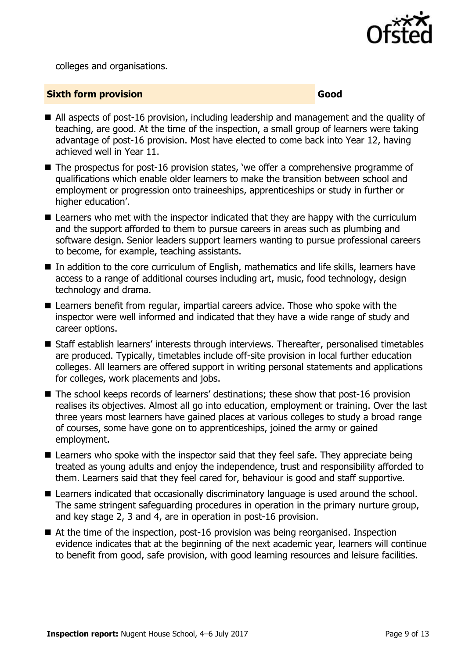

colleges and organisations.

#### **Sixth form provision Good**

- All aspects of post-16 provision, including leadership and management and the quality of teaching, are good. At the time of the inspection, a small group of learners were taking advantage of post-16 provision. Most have elected to come back into Year 12, having achieved well in Year 11.
- The prospectus for post-16 provision states, 'we offer a comprehensive programme of qualifications which enable older learners to make the transition between school and employment or progression onto traineeships, apprenticeships or study in further or higher education'.
- Learners who met with the inspector indicated that they are happy with the curriculum and the support afforded to them to pursue careers in areas such as plumbing and software design. Senior leaders support learners wanting to pursue professional careers to become, for example, teaching assistants.
- In addition to the core curriculum of English, mathematics and life skills, learners have access to a range of additional courses including art, music, food technology, design technology and drama.
- Learners benefit from regular, impartial careers advice. Those who spoke with the inspector were well informed and indicated that they have a wide range of study and career options.
- Staff establish learners' interests through interviews. Thereafter, personalised timetables are produced. Typically, timetables include off-site provision in local further education colleges. All learners are offered support in writing personal statements and applications for colleges, work placements and jobs.
- The school keeps records of learners' destinations; these show that post-16 provision realises its objectives. Almost all go into education, employment or training. Over the last three years most learners have gained places at various colleges to study a broad range of courses, some have gone on to apprenticeships, joined the army or gained employment.
- Learners who spoke with the inspector said that they feel safe. They appreciate being treated as young adults and enjoy the independence, trust and responsibility afforded to them. Learners said that they feel cared for, behaviour is good and staff supportive.
- **E** Learners indicated that occasionally discriminatory language is used around the school. The same stringent safeguarding procedures in operation in the primary nurture group, and key stage 2, 3 and 4, are in operation in post-16 provision.
- At the time of the inspection, post-16 provision was being reorganised. Inspection evidence indicates that at the beginning of the next academic year, learners will continue to benefit from good, safe provision, with good learning resources and leisure facilities.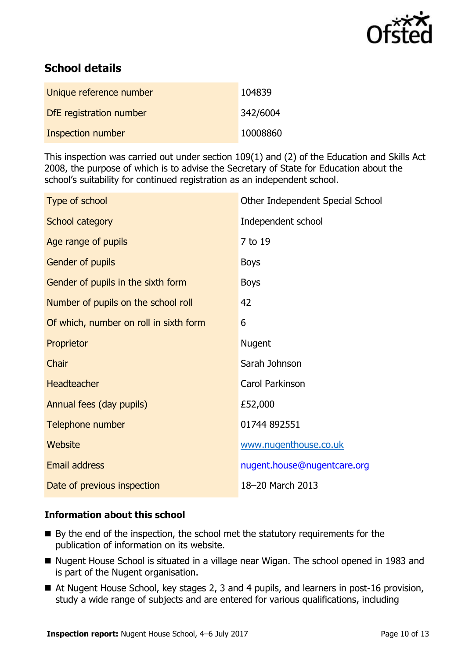

# **School details**

| Unique reference number  | 104839   |
|--------------------------|----------|
| DfE registration number  | 342/6004 |
| <b>Inspection number</b> | 10008860 |

This inspection was carried out under section 109(1) and (2) of the Education and Skills Act 2008, the purpose of which is to advise the Secretary of State for Education about the school's suitability for continued registration as an independent school.

| Type of school                         | Other Independent Special School |
|----------------------------------------|----------------------------------|
| School category                        | Independent school               |
| Age range of pupils                    | 7 to 19                          |
| Gender of pupils                       | <b>Boys</b>                      |
| Gender of pupils in the sixth form     | <b>Boys</b>                      |
| Number of pupils on the school roll    | 42                               |
| Of which, number on roll in sixth form | 6                                |
| Proprietor                             | <b>Nugent</b>                    |
| Chair                                  | Sarah Johnson                    |
| <b>Headteacher</b>                     | Carol Parkinson                  |
| Annual fees (day pupils)               | £52,000                          |
| Telephone number                       | 01744 892551                     |
| Website                                | www.nugenthouse.co.uk            |
| <b>Email address</b>                   | nugent.house@nugentcare.org      |
| Date of previous inspection            | 18-20 March 2013                 |

#### **Information about this school**

- $\blacksquare$  By the end of the inspection, the school met the statutory requirements for the publication of information on its website.
- Nugent House School is situated in a village near Wigan. The school opened in 1983 and is part of the Nugent organisation.
- At Nugent House School, key stages 2, 3 and 4 pupils, and learners in post-16 provision, study a wide range of subjects and are entered for various qualifications, including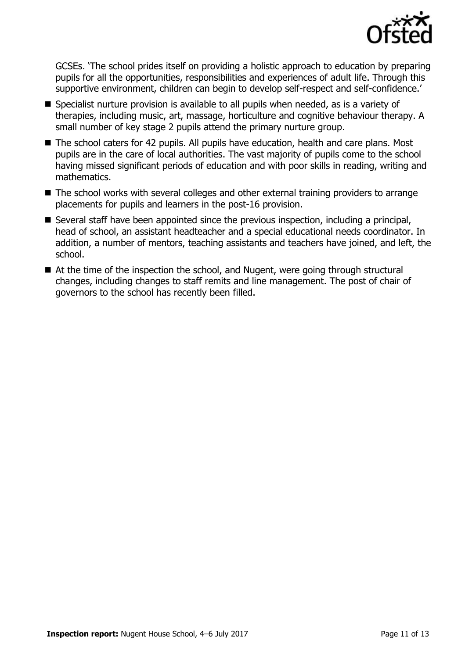

GCSEs. 'The school prides itself on providing a holistic approach to education by preparing pupils for all the opportunities, responsibilities and experiences of adult life. Through this supportive environment, children can begin to develop self-respect and self-confidence.'

- Specialist nurture provision is available to all pupils when needed, as is a variety of therapies, including music, art, massage, horticulture and cognitive behaviour therapy. A small number of key stage 2 pupils attend the primary nurture group.
- The school caters for 42 pupils. All pupils have education, health and care plans. Most pupils are in the care of local authorities. The vast majority of pupils come to the school having missed significant periods of education and with poor skills in reading, writing and mathematics.
- The school works with several colleges and other external training providers to arrange placements for pupils and learners in the post-16 provision.
- Several staff have been appointed since the previous inspection, including a principal, head of school, an assistant headteacher and a special educational needs coordinator. In addition, a number of mentors, teaching assistants and teachers have joined, and left, the school.
- At the time of the inspection the school, and Nugent, were going through structural changes, including changes to staff remits and line management. The post of chair of governors to the school has recently been filled.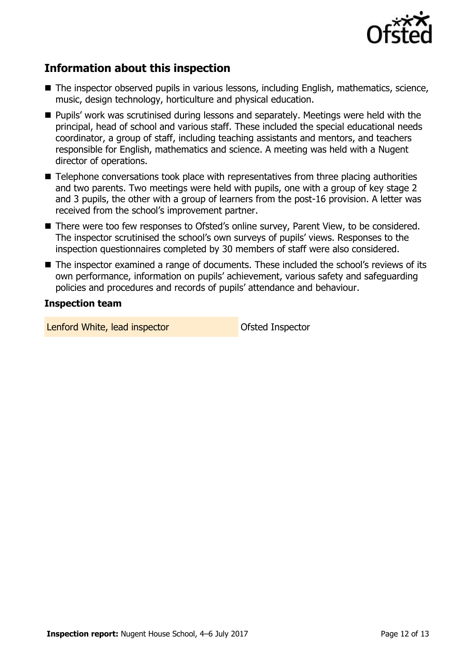

# **Information about this inspection**

- The inspector observed pupils in various lessons, including English, mathematics, science, music, design technology, horticulture and physical education.
- **Pupils' work was scrutinised during lessons and separately. Meetings were held with the** principal, head of school and various staff. These included the special educational needs coordinator, a group of staff, including teaching assistants and mentors, and teachers responsible for English, mathematics and science. A meeting was held with a Nugent director of operations.
- Telephone conversations took place with representatives from three placing authorities and two parents. Two meetings were held with pupils, one with a group of key stage 2 and 3 pupils, the other with a group of learners from the post-16 provision. A letter was received from the school's improvement partner.
- There were too few responses to Ofsted's online survey, Parent View, to be considered. The inspector scrutinised the school's own surveys of pupils' views. Responses to the inspection questionnaires completed by 30 members of staff were also considered.
- The inspector examined a range of documents. These included the school's reviews of its own performance, information on pupils' achievement, various safety and safeguarding policies and procedures and records of pupils' attendance and behaviour.

#### **Inspection team**

Lenford White, lead inspector and offsted Inspector